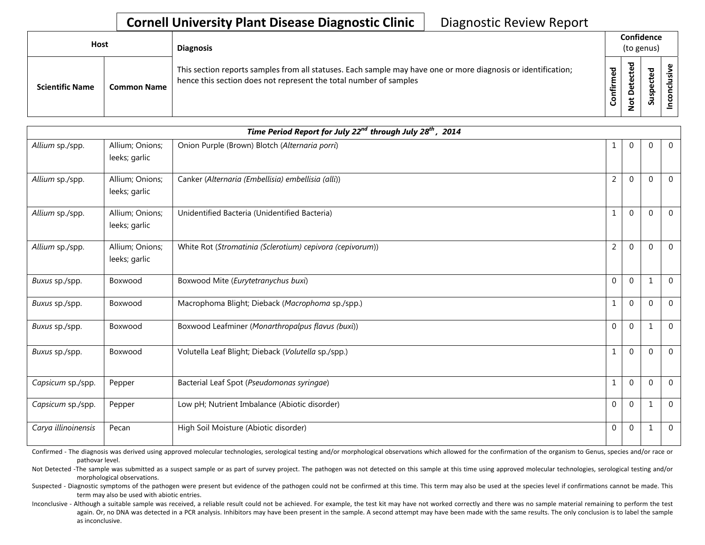| Host                   |                    | <b>Diagnosis</b>                                                                                                                                                                   |                     | Confidence<br>(to genus)     |                         |  |  |  |
|------------------------|--------------------|------------------------------------------------------------------------------------------------------------------------------------------------------------------------------------|---------------------|------------------------------|-------------------------|--|--|--|
| <b>Scientific Name</b> | <b>Common Name</b> | This section reports samples from all statuses. Each sample may have one or more diagnosis or identification;<br>hence this section does not represent the total number of samples | ᅙ<br>ω<br>Ē<br>nfir | ಕ<br>$\omega$<br>ይ<br>Φ<br>을 | ਠ<br>ں<br>င္ဟ<br>-<br>Ū |  |  |  |

|                     |                                  | Time Period Report for July 22 <sup>nd</sup> through July 28 <sup>th</sup> , 2014 |                |              |              |                |
|---------------------|----------------------------------|-----------------------------------------------------------------------------------|----------------|--------------|--------------|----------------|
| Allium sp./spp.     | Allium; Onions;<br>leeks; garlic | Onion Purple (Brown) Blotch (Alternaria porri)                                    | 1              | 0            | $\mathbf 0$  | $\overline{0}$ |
| Allium sp./spp.     | Allium; Onions;<br>leeks; garlic | Canker (Alternaria (Embellisia) embellisia (alli))                                | 2              | 0            | $\mathbf{0}$ | $\Omega$       |
| Allium sp./spp.     | Allium; Onions;<br>leeks; garlic | Unidentified Bacteria (Unidentified Bacteria)                                     | 1              | 0            | $\Omega$     | $\Omega$       |
| Allium sp./spp.     | Allium; Onions;<br>leeks; garlic | White Rot (Stromatinia (Sclerotium) cepivora (cepivorum))                         | $\overline{2}$ | 0            | $\Omega$     | $\Omega$       |
| Buxus sp./spp.      | Boxwood                          | Boxwood Mite (Eurytetranychus buxi)                                               | 0              | 0            | 1            | $\mathbf{0}$   |
| Buxus sp./spp.      | Boxwood                          | Macrophoma Blight; Dieback (Macrophoma sp./spp.)                                  | $\mathbf{1}$   | $\mathbf 0$  | $\mathbf 0$  | $\mathbf 0$    |
| Buxus sp./spp.      | Boxwood                          | Boxwood Leafminer (Monarthropalpus flavus (buxi))                                 | $\mathbf{0}$   | $\mathbf{0}$ | $\mathbf{1}$ | $\mathbf{0}$   |
| Buxus sp./spp.      | Boxwood                          | Volutella Leaf Blight; Dieback (Volutella sp./spp.)                               | 1              | $\mathbf 0$  | $\mathbf 0$  | $\Omega$       |
| Capsicum sp./spp.   | Pepper                           | Bacterial Leaf Spot (Pseudomonas syringae)                                        | 1              | 0            | $\mathbf 0$  | $\mathbf{0}$   |
| Capsicum sp./spp.   | Pepper                           | Low pH; Nutrient Imbalance (Abiotic disorder)                                     | 0              | $\mathbf{0}$ | $\mathbf{1}$ | $\overline{0}$ |
| Carya illinoinensis | Pecan                            | High Soil Moisture (Abiotic disorder)                                             | 0              | $\mathbf 0$  | 1            | $\mathbf{0}$   |

Confirmed - The diagnosis was derived using approved molecular technologies, serological testing and/or morphological observations which allowed for the confirmation of the organism to Genus, species and/or race or pathovar level.

Not Detected -The sample was submitted as a suspect sample or as part of survey project. The pathogen was not detected on this sample at this time using approved molecular technologies, serological testing and/or morphological observations.

Suspected - Diagnostic symptoms of the pathogen were present but evidence of the pathogen could not be confirmed at this time. This term may also be used at the species level if confirmations cannot be made. This term may also be used with abiotic entries.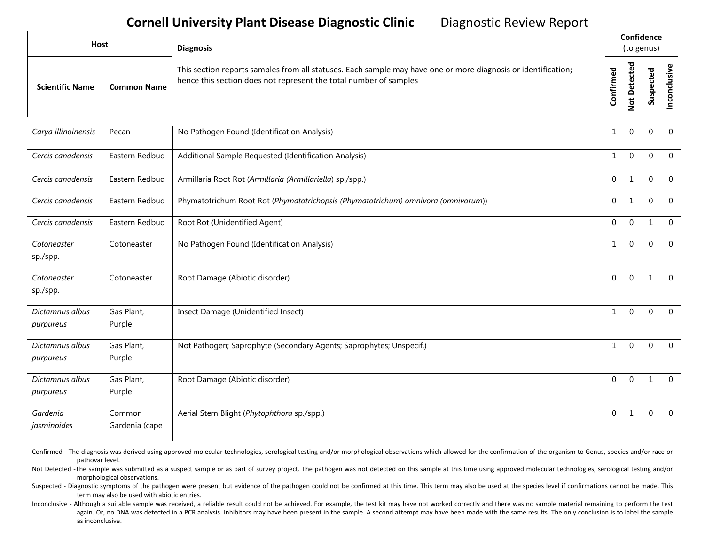| <b>Host</b>            |                    | <b>Diagnosis</b>                                                                                                                                                                   |              | Confidence<br>(to genus)     |             |   |  |  |
|------------------------|--------------------|------------------------------------------------------------------------------------------------------------------------------------------------------------------------------------|--------------|------------------------------|-------------|---|--|--|
| <b>Scientific Name</b> | <b>Common Name</b> | This section reports samples from all statuses. Each sample may have one or more diagnosis or identification;<br>hence this section does not represent the total number of samples | med<br>onfir | ᅙ<br>پ<br>o<br>پ<br><u>o</u> | ਠ<br>௨<br>៹ | ပ |  |  |

| Carya illinoinensis          | Pecan                    | No Pathogen Found (Identification Analysis)                                       | 1 | 0            | $\mathbf 0$  | $\mathbf{0}$   |
|------------------------------|--------------------------|-----------------------------------------------------------------------------------|---|--------------|--------------|----------------|
| Cercis canadensis            | Eastern Redbud           | Additional Sample Requested (Identification Analysis)                             | 1 | 0            | $\Omega$     | $\Omega$       |
| Cercis canadensis            | Eastern Redbud           | Armillaria Root Rot (Armillaria (Armillariella) sp./spp.)                         | 0 | 1            | $\mathbf{0}$ | $\mathbf{0}$   |
| Cercis canadensis            | Eastern Redbud           | Phymatotrichum Root Rot (Phymatotrichopsis (Phymatotrichum) omnivora (omnivorum)) | 0 | -1           | $\mathbf 0$  | $\overline{0}$ |
| Cercis canadensis            | Eastern Redbud           | Root Rot (Unidentified Agent)                                                     | 0 | $\pmb{0}$    | 1            | $\mathbf 0$    |
| Cotoneaster<br>sp./spp.      | Cotoneaster              | No Pathogen Found (Identification Analysis)                                       | 1 | $\mathbf 0$  | $\Omega$     | $\Omega$       |
| Cotoneaster<br>sp./spp.      | Cotoneaster              | Root Damage (Abiotic disorder)                                                    | 0 | $\mathbf{0}$ | 1            | $\Omega$       |
| Dictamnus albus<br>purpureus | Gas Plant,<br>Purple     | Insect Damage (Unidentified Insect)                                               | 1 | 0            | $\Omega$     | $\Omega$       |
| Dictamnus albus<br>purpureus | Gas Plant,<br>Purple     | Not Pathogen; Saprophyte (Secondary Agents; Saprophytes; Unspecif.)               | 1 | 0            | $\Omega$     | $\Omega$       |
| Dictamnus albus<br>purpureus | Gas Plant,<br>Purple     | Root Damage (Abiotic disorder)                                                    | 0 | $\mathbf 0$  | 1            | $\Omega$       |
| Gardenia<br>jasminoides      | Common<br>Gardenia (cape | Aerial Stem Blight (Phytophthora sp./spp.)                                        | 0 |              | $\mathbf 0$  | $\Omega$       |

Confirmed - The diagnosis was derived using approved molecular technologies, serological testing and/or morphological observations which allowed for the confirmation of the organism to Genus, species and/or race or pathovar level.

Not Detected -The sample was submitted as a suspect sample or as part of survey project. The pathogen was not detected on this sample at this time using approved molecular technologies, serological testing and/or morphological observations.

Suspected - Diagnostic symptoms of the pathogen were present but evidence of the pathogen could not be confirmed at this time. This term may also be used at the species level if confirmations cannot be made. This term may also be used with abiotic entries.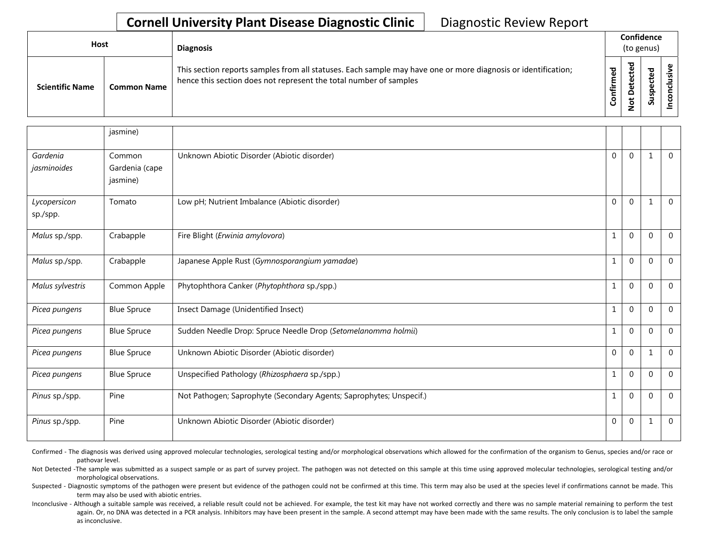| Host                   |                    | <b>Diagnosis</b>                                                                                                                                                                   |    | Confidence<br>(to genus) |                            |  |  |  |
|------------------------|--------------------|------------------------------------------------------------------------------------------------------------------------------------------------------------------------------------|----|--------------------------|----------------------------|--|--|--|
| <b>Scientific Name</b> | <b>Common Name</b> | This section reports samples from all statuses. Each sample may have one or more diagnosis or identification;<br>hence this section does not represent the total number of samples | ∉ั | ᅕ                        | ъ<br>ں<br>ω<br>요<br>ន<br>S |  |  |  |

|                          | jasmine)                             |                                                                     |              |              |              |                |
|--------------------------|--------------------------------------|---------------------------------------------------------------------|--------------|--------------|--------------|----------------|
| Gardenia<br>jasminoides  | Common<br>Gardenia (cape<br>jasmine) | Unknown Abiotic Disorder (Abiotic disorder)                         | $\Omega$     | $\Omega$     | $\mathbf{1}$ | $\Omega$       |
| Lycopersicon<br>sp./spp. | Tomato                               | Low pH; Nutrient Imbalance (Abiotic disorder)                       | $\Omega$     | $\Omega$     | $\mathbf{1}$ | $\Omega$       |
| Malus sp./spp.           | Crabapple                            | Fire Blight (Erwinia amylovora)                                     | 1            | $\mathbf{0}$ | $\mathbf{0}$ | $\overline{0}$ |
| Malus sp./spp.           | Crabapple                            | Japanese Apple Rust (Gymnosporangium yamadae)                       |              | $\mathbf 0$  | $\mathbf{0}$ | $\mathbf 0$    |
| Malus sylvestris         | Common Apple                         | Phytophthora Canker (Phytophthora sp./spp.)                         | 1            | $\mathbf{0}$ | $\mathbf{0}$ | $\overline{0}$ |
| Picea pungens            | <b>Blue Spruce</b>                   | Insect Damage (Unidentified Insect)                                 | 1            | $\mathbf 0$  | $\mathbf{0}$ | $\Omega$       |
| Picea pungens            | <b>Blue Spruce</b>                   | Sudden Needle Drop: Spruce Needle Drop (Setomelanomma holmii)       | 1            | $\mathbf 0$  | 0            | $\Omega$       |
| Picea pungens            | <b>Blue Spruce</b>                   | Unknown Abiotic Disorder (Abiotic disorder)                         | $\mathbf{0}$ | $\mathbf{0}$ | 1            | $\mathbf{0}$   |
| Picea pungens            | <b>Blue Spruce</b>                   | Unspecified Pathology (Rhizosphaera sp./spp.)                       | 1            | $\Omega$     | $\Omega$     | $\Omega$       |
| Pinus sp./spp.           | Pine                                 | Not Pathogen; Saprophyte (Secondary Agents; Saprophytes; Unspecif.) |              | $\Omega$     | $\Omega$     | $\Omega$       |
| Pinus sp./spp.           | Pine                                 | Unknown Abiotic Disorder (Abiotic disorder)                         | $\Omega$     | $\mathbf{0}$ | $\mathbf{1}$ | $\Omega$       |

Confirmed - The diagnosis was derived using approved molecular technologies, serological testing and/or morphological observations which allowed for the confirmation of the organism to Genus, species and/or race or pathovar level.

Not Detected -The sample was submitted as a suspect sample or as part of survey project. The pathogen was not detected on this sample at this time using approved molecular technologies, serological testing and/or morphological observations.

Suspected - Diagnostic symptoms of the pathogen were present but evidence of the pathogen could not be confirmed at this time. This term may also be used at the species level if confirmations cannot be made. This term may also be used with abiotic entries.